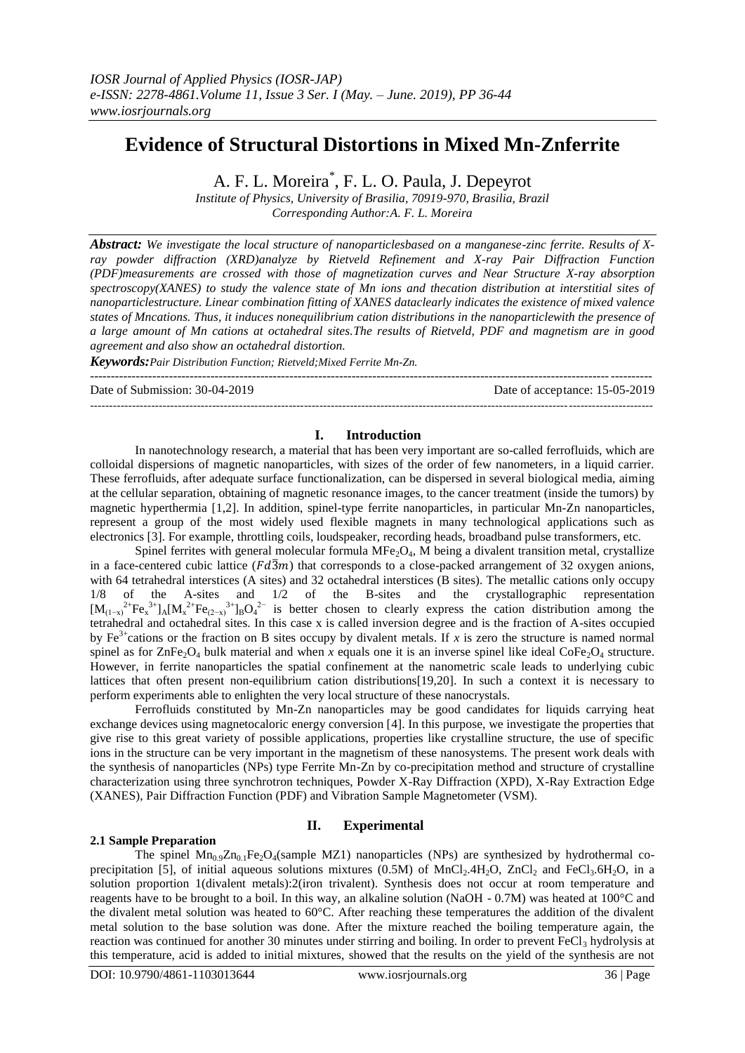# **Evidence of Structural Distortions in Mixed Mn-Znferrite**

A. F. L. Moreira\* , F. L. O. Paula, J. Depeyrot

*Institute of Physics, University of Brasilia, 70919-970, Brasilia, Brazil Corresponding Author:A. F. L. Moreira* 

*Abstract: We investigate the local structure of nanoparticlesbased on a manganese-zinc ferrite. Results of Xray powder diffraction (XRD)analyze by Rietveld Refinement and X-ray Pair Diffraction Function (PDF)measurements are crossed with those of magnetization curves and Near Structure X-ray absorption spectroscopy(XANES) to study the valence state of Mn ions and thecation distribution at interstitial sites of nanoparticlestructure. Linear combination fitting of XANES dataclearly indicates the existence of mixed valence states of Mncations. Thus, it induces nonequilibrium cation distributions in the nanoparticlewith the presence of a large amount of Mn cations at octahedral sites.The results of Rietveld, PDF and magnetism are in good agreement and also show an octahedral distortion.* 

*Keywords:Pair Distribution Function; Rietveld;Mixed Ferrite Mn-Zn.*

---------------------------------------------------------------------------------------------------------------------------------------

Date of Submission: 30-04-2019 Date of acceptance: 15-05-2019

## **I. Introduction**

---------------------------------------------------------------------------------------------------------------------------------------------------

In nanotechnology research, a material that has been very important are so-called ferrofluids, which are colloidal dispersions of magnetic nanoparticles, with sizes of the order of few nanometers, in a liquid carrier. These ferrofluids, after adequate surface functionalization, can be dispersed in several biological media, aiming at the cellular separation, obtaining of magnetic resonance images, to the cancer treatment (inside the tumors) by magnetic hyperthermia [1,2]. In addition, spinel-type ferrite nanoparticles, in particular Mn-Zn nanoparticles, represent a group of the most widely used flexible magnets in many technological applications such as electronics [3]. For example, throttling coils, loudspeaker, recording heads, broadband pulse transformers, etc.

Spinel ferrites with general molecular formula  $MFe<sub>2</sub>O<sub>4</sub>$ , M being a divalent transition metal, crystallize in a face-centered cubic lattice  $(Fd\overline{3}m)$  that corresponds to a close-packed arrangement of 32 oxygen anions, with 64 tetrahedral interstices (A sites) and 32 octahedral interstices (B sites). The metallic cations only occupy  $1/8$  of the A-sites and  $1/2$  of the B-sites and the crystallographic representation A-sites and  $1/2$  of the B-sites and the crystallographic  $[M_{(1-x)}^{2+}Fe^{-3+}_{x}]_A[M_x^{2+}Fe_{(2-x)}^{3+}]_BO_4^{2-}$  is better chosen to clearly express the cation distribution among the tetrahedral and octahedral sites. In this case x is called inversion degree and is the fraction of A-sites occupied by Fe<sup>3+</sup>cations or the fraction on B sites occupy by divalent metals. If *x* is zero the structure is named normal spinel as for  $\text{ZnFe}_2\text{O}_4$  bulk material and when *x* equals one it is an inverse spinel like ideal CoFe<sub>2</sub>O<sub>4</sub> structure. However, in ferrite nanoparticles the spatial confinement at the nanometric scale leads to underlying cubic lattices that often present non-equilibrium cation distributions[\[19,](#page-6-0)[20\]](#page-6-1). In such a context it is necessary to perform experiments able to enlighten the very local structure of these nanocrystals.

Ferrofluids constituted by Mn-Zn nanoparticles may be good candidates for liquids carrying heat exchange devices using magnetocaloric energy conversion [4]. In this purpose, we investigate the properties that give rise to this great variety of possible applications, properties like crystalline structure, the use of specific ions in the structure can be very important in the magnetism of these nanosystems. The present work deals with the synthesis of nanoparticles (NPs) type Ferrite Mn-Zn by co-precipitation method and structure of crystalline characterization using three synchrotron techniques, Powder X-Ray Diffraction (XPD), X-Ray Extraction Edge (XANES), Pair Diffraction Function (PDF) and Vibration Sample Magnetometer (VSM).

# **II. Experimental**

## **2.1 Sample Preparation**

The spinel  $Mn_0, Zn_0$ , Fe<sub>2</sub>O<sub>4</sub>(sample MZ1) nanoparticles (NPs) are synthesized by hydrothermal coprecipitation [5], of initial aqueous solutions mixtures  $(0.5M)$  of MnCl<sub>2</sub>.4H<sub>2</sub>O, ZnCl<sub>2</sub> and FeCl<sub>3</sub>.6H<sub>2</sub>O, in a solution proportion 1(divalent metals):2(iron trivalent). Synthesis does not occur at room temperature and reagents have to be brought to a boil. In this way, an alkaline solution (NaOH - 0.7M) was heated at 100°C and the divalent metal solution was heated to 60°C. After reaching these temperatures the addition of the divalent metal solution to the base solution was done. After the mixture reached the boiling temperature again, the reaction was continued for another 30 minutes under stirring and boiling. In order to prevent  $FeCl<sub>3</sub>$  hydrolysis at this temperature, acid is added to initial mixtures, showed that the results on the yield of the synthesis are not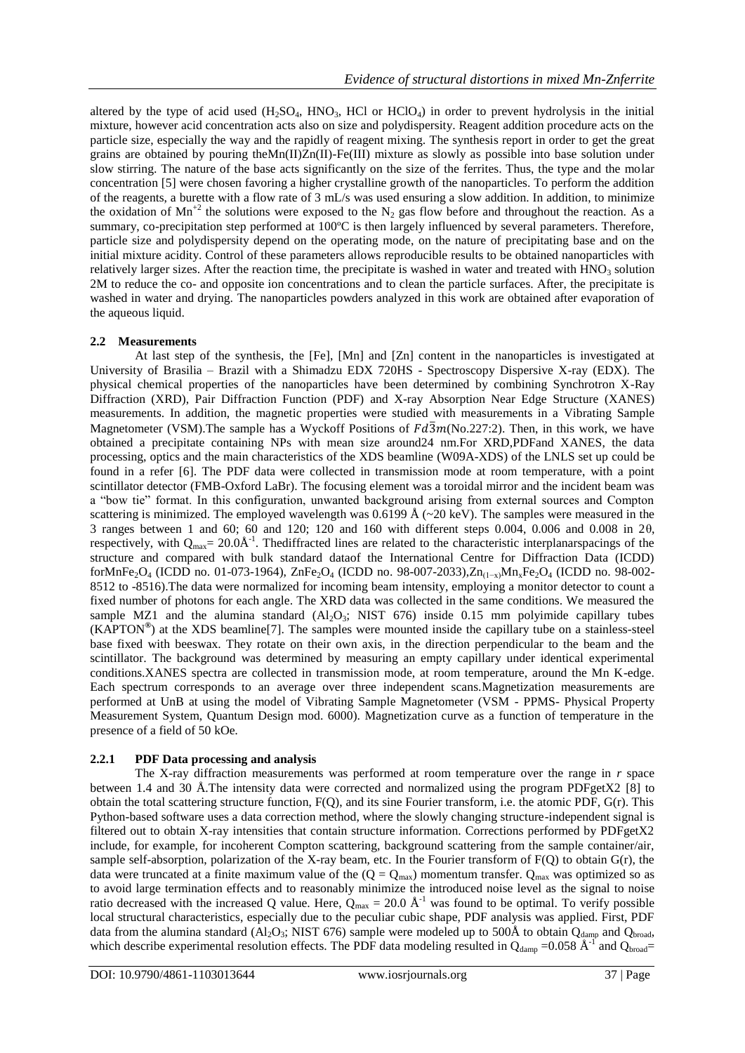altered by the type of acid used  $(H_2SO_4, HNO_3, HCl$  or  $HClO_4$ ) in order to prevent hydrolysis in the initial mixture, however acid concentration acts also on size and polydispersity. Reagent addition procedure acts on the particle size, especially the way and the rapidly of reagent mixing. The synthesis report in order to get the great grains are obtained by pouring theMn(II)Zn(II)-Fe(III) mixture as slowly as possible into base solution under slow stirring. The nature of the base acts significantly on the size of the ferrites. Thus, the type and the molar concentration [5] were chosen favoring a higher crystalline growth of the nanoparticles. To perform the addition of the reagents, a burette with a flow rate of 3 mL/s was used ensuring a slow addition. In addition, to minimize the oxidation of Mn<sup>+2</sup> the solutions were exposed to the N<sub>2</sub> gas flow before and throughout the reaction. As a summary, co-precipitation step performed at 100°C is then largely influenced by several parameters. Therefore, particle size and polydispersity depend on the operating mode, on the nature of precipitating base and on the initial mixture acidity. Control of these parameters allows reproducible results to be obtained nanoparticles with relatively larger sizes. After the reaction time, the precipitate is washed in water and treated with  $HNO<sub>3</sub>$  solution 2M to reduce the co- and opposite ion concentrations and to clean the particle surfaces. After, the precipitate is washed in water and drying. The nanoparticles powders analyzed in this work are obtained after evaporation of the aqueous liquid.

# **2.2 Measurements**

<span id="page-1-0"></span>At last step of the synthesis, the [Fe], [Mn] and [Zn] content in the nanoparticles is investigated at University of Brasilia – Brazil with a Shimadzu EDX 720HS - Spectroscopy Dispersive X-ray (EDX). The physical chemical properties of the nanoparticles have been determined by combining Synchrotron X-Ray Diffraction (XRD), Pair Diffraction Function (PDF) and X-ray Absorption Near Edge Structure (XANES) measurements. In addition, the magnetic properties were studied with measurements in a Vibrating Sample Magnetometer (VSM). The sample has a Wyckoff Positions of  $Fd\overline{3}m(No.227:2)$ . Then, in this work, we have obtained a precipitate containing NPs with mean size around24 nm.For XRD,PDFand XANES, the data processing, optics and the main characteristics of the XDS beamline (W09A-XDS) of the LNLS set up could be found in a refer [6]. The PDF data were collected in transmission mode at room temperature, with a point scintillator detector (FMB-Oxford LaBr). The focusing element was a toroidal mirror and the incident beam was a "bow tie" format. In this configuration, unwanted background arising from external sources and Compton scattering is minimized. The employed wavelength was  $0.6199 \text{ Å}$  (~20 keV). The samples were measured in the 3 ranges between 1 and 60; 60 and 120; 120 and 160 with different steps 0.004, 0.006 and 0.008 in 2θ, respectively, with  $Q_{max} = 20.0\text{\AA}^{-1}$ . Thediffracted lines are related to the characteristic interplanarspacings of the structure and compared with bulk standard dataof the International Centre for Diffraction Data (ICDD) forMnFe2O<sup>4</sup> (ICDD no. 01-073-1964), ZnFe2O<sup>4</sup> (ICDD no. 98-007-2033),Zn(1−x)MnxFe2O<sup>4</sup> (ICDD no. 98-002- 8512 to -8516).The data were normalized for incoming beam intensity, employing a monitor detector to count a fixed number of photons for each angle. The XRD data was collected in the same conditions. We measured the sample MZ1 and the alumina standard  $(Al_2O_3; NIST 676)$  inside 0.15 mm polyimide capillary tubes (KAPTON**®** ) at the XDS beamline[7]. The samples were mounted inside the capillary tube on a stainless-steel base fixed with beeswax. They rotate on their own axis, in the direction perpendicular to the beam and the scintillator. The background was determined by measuring an empty capillary under identical experimental conditions.XANES spectra are collected in transmission mode, at room temperature, around the Mn K-edge. Each spectrum corresponds to an average over three independent scans.Magnetization measurements are performed at UnB at using the model of Vibrating Sample Magnetometer (VSM - PPMS- Physical Property Measurement System, Quantum Design mod. 6000). Magnetization curve as a function of temperature in the presence of a field of 50 kOe*.*

# **2.2.1 PDF Data processing and analysis**

The X-ray diffraction measurements was performed at room temperature over the range in *r* space between 1.4 and 30 Å.The intensity data were corrected and normalized using the program PDFgetX2 [8] to obtain the total scattering structure function, F(Q), and its sine Fourier transform, i.e. the atomic PDF, G(r). This Python-based software uses a data correction method, where the slowly changing structure-independent signal is filtered out to obtain X-ray intensities that contain structure information. Corrections performed by PDFgetX2 include, for example, for incoherent Compton scattering, background scattering from the sample container/air, sample self-absorption, polarization of the X-ray beam, etc. In the Fourier transform of  $F(Q)$  to obtain  $G(r)$ , the data were truncated at a finite maximum value of the  $(Q = Q_{max})$  momentum transfer.  $Q_{max}$  was optimized so as to avoid large termination effects and to reasonably minimize the introduced noise level as the signal to noise ratio decreased with the increased Q value. Here,  $Q_{max} = 20.0 \text{ Å}^{-1}$  was found to be optimal. To verify possible local structural characteristics, especially due to the peculiar cubic shape, PDF analysis was applied. First, PDF data from the alumina standard (Al<sub>2</sub>O<sub>3</sub>; NIST 676) sample were modeled up to 500Å to obtain Q<sub>damp</sub> and Q<sub>broad</sub>, which describe experimental resolution effects. The PDF data modeling resulted in  $Q_{\text{damp}} = 0.058 \text{ Å}^{-1}$  and  $Q_{\text{broad}} =$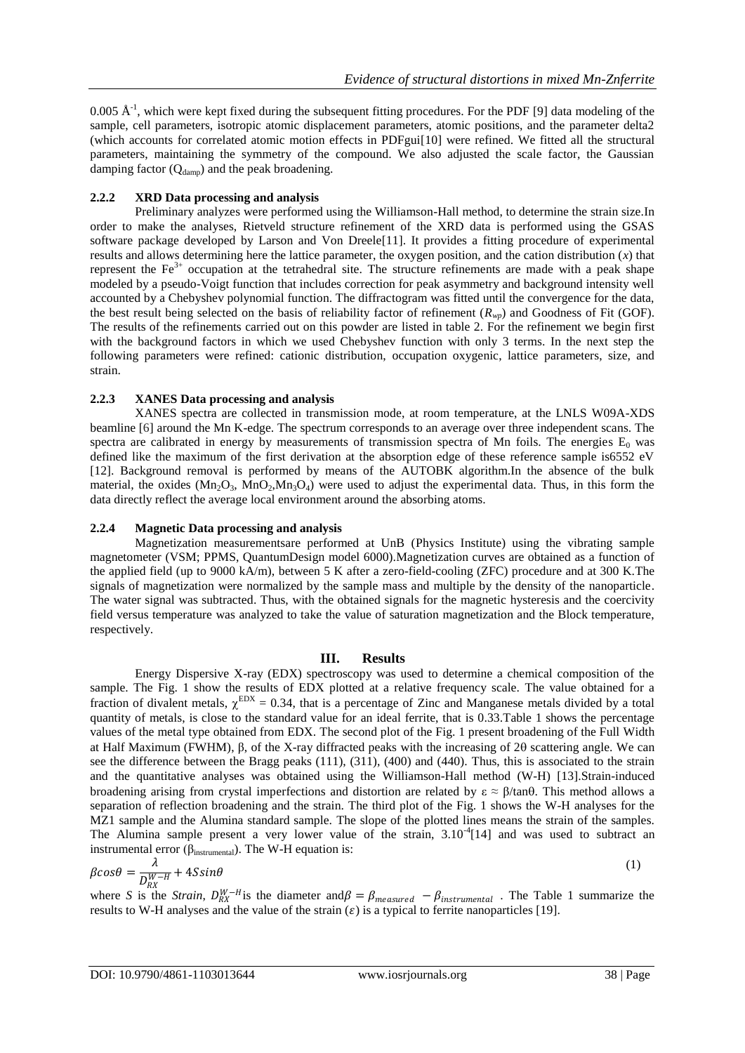0.005  $\AA$ <sup>-1</sup>, which were kept fixed during the subsequent fitting procedures. For the PDF [9] data modeling of the sample, cell parameters, isotropic atomic displacement parameters, atomic positions, and the parameter delta2 (which accounts for correlated atomic motion effects in PDFgui[10] were refined. We fitted all the structural parameters, maintaining the symmetry of the compound. We also adjusted the scale factor, the Gaussian damping factor  $(Q_{\text{damp}})$  and the peak broadening.

## **2.2.2 XRD Data processing and analysis**

Preliminary analyzes were performed using the Williamson-Hall method, to determine the strain size.In order to make the analyses, Rietveld structure refinement of the XRD data is performed using the GSAS software package developed by Larson and Von Dreele[11]. It provides a fitting procedure of experimental results and allows determining here the lattice parameter, the oxygen position, and the cation distribution (*x*) that represent the  $Fe<sup>3+</sup>$  occupation at the tetrahedral site. The structure refinements are made with a peak shape modeled by a pseudo-Voigt function that includes correction for peak asymmetry and background intensity well accounted by a Chebyshev polynomial function. The diffractogram was fitted until the convergence for the data, the best result being selected on the basis of reliability factor of refinement (*Rwp*) and Goodness of Fit (GOF). The results of the refinements carried out on this powder are listed in table 2. For the refinement we begin first with the background factors in which we used Chebyshev function with only 3 terms. In the next step the following parameters were refined: cationic distribution, occupation oxygenic, lattice parameters, size, and strain.

## **2.2.3 XANES Data processing and analysis**

XANES spectra are collected in transmission mode, at room temperature, at the LNLS W09A-XDS beamline [\[6\]](#page-1-0) around the Mn K-edge. The spectrum corresponds to an average over three independent scans. The spectra are calibrated in energy by measurements of transmission spectra of Mn foils. The energies  $E_0$  was defined like the maximum of the first derivation at the absorption edge of these reference sample is6552 eV [12]. Background removal is performed by means of the AUTOBK algorithm.In the absence of the bulk material, the oxides  $(Mn_2O_3, MnO_2, Mn_3O_4)$  were used to adjust the experimental data. Thus, in this form the data directly reflect the average local environment around the absorbing atoms.

## **2.2.4 Magnetic Data processing and analysis**

Magnetization measurementsare performed at UnB (Physics Institute) using the vibrating sample magnetometer (VSM; PPMS, QuantumDesign model 6000).Magnetization curves are obtained as a function of the applied field (up to 9000 kA/m), between 5 K after a zero-field-cooling (ZFC) procedure and at 300 K.The signals of magnetization were normalized by the sample mass and multiple by the density of the nanoparticle. The water signal was subtracted. Thus, with the obtained signals for the magnetic hysteresis and the coercivity field versus temperature was analyzed to take the value of saturation magnetization and the Block temperature, respectively.

#### **III. Results**

Energy Dispersive X-ray (EDX) spectroscopy was used to determine a chemical composition of the sample. The Fig. 1 show the results of EDX plotted at a relative frequency scale. The value obtained for a fraction of divalent metals,  $\chi^{EDX} = 0.34$ , that is a percentage of Zinc and Manganese metals divided by a total quantity of metals, is close to the standard value for an ideal ferrite, that is 0.33.Table 1 shows the percentage values of the metal type obtained from EDX. The second plot of the Fig. 1 present broadening of the Full Width at Half Maximum (FWHM), β, of the X-ray diffracted peaks with the increasing of 2θ scattering angle. We can see the difference between the Bragg peaks (111), (311), (400) and (440). Thus, this is associated to the strain and the quantitative analyses was obtained using the Williamson-Hall method (W-H) [13].Strain-induced broadening arising from crystal imperfections and distortion are related by  $\varepsilon \approx \beta/\tan\theta$ . This method allows a separation of reflection broadening and the strain. The third plot of the Fig. 1 shows the W-H analyses for the MZ1 sample and the Alumina standard sample. The slope of the plotted lines means the strain of the samples. The Alumina sample present a very lower value of the strain, 3.10<sup>-4</sup>[14] and was used to subtract an instrumental error ( $β<sub>instrumental</sub>$ ). The W-H equation is:

$$
\beta \cos \theta = \frac{\lambda}{D_{RX}^{W-H}} + 4S \sin \theta \tag{1}
$$

where *S* is the *Strain*,  $D_{RX}^{W-H}$  is the diameter and  $\beta = \beta_{measured} - \beta_{instrumental}$ . The Table 1 summarize the results to W-H analyses and the value of the strain  $(\varepsilon)$  is a typical to ferrite nanoparticles [\[19\]](#page-6-0).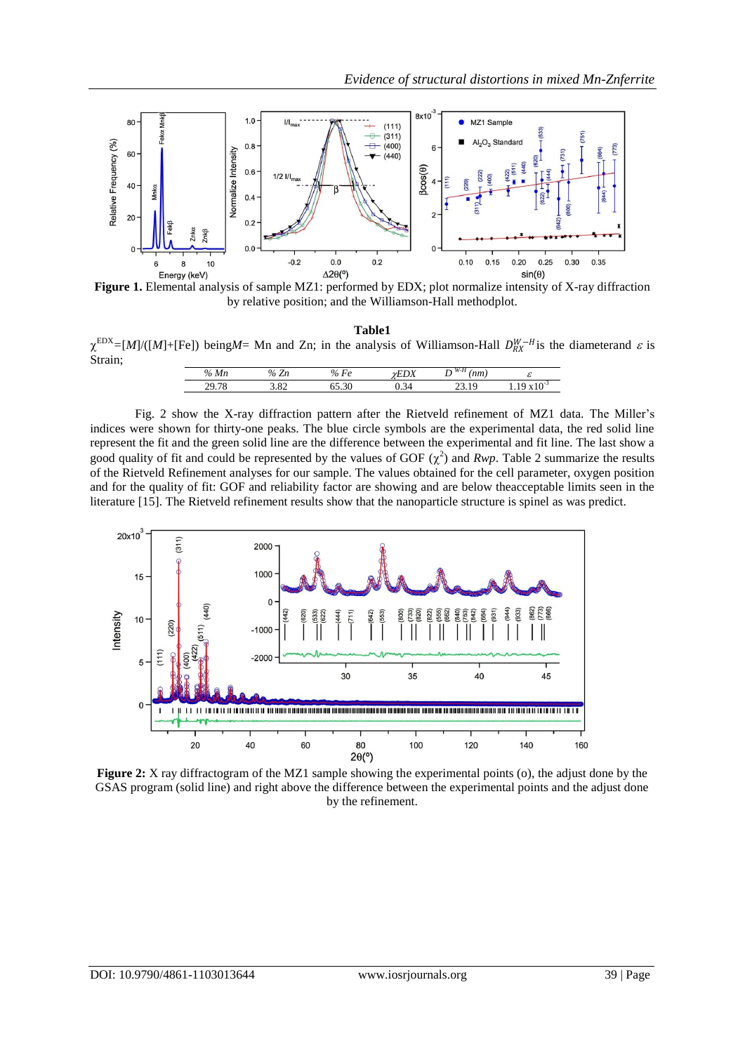

**Figure 1.** Elemental analysis of sample MZ1: performed by EDX; plot normalize intensity of X-ray diffraction by relative position; and the Williamson-Hall methodplot.

|                                                                                                                                                                   | Table1 |  |
|-------------------------------------------------------------------------------------------------------------------------------------------------------------------|--------|--|
| $\chi^{\text{EDX}} = [M]/([M]+[Fe])$ being <i>M</i> = Mn and Zn; in the analysis of Williamson-Hall $D_{RX}^{W-H}$ is the diameterand $\varepsilon$ is<br>Strain: |        |  |

| %Mn   | -<br>$v_{\alpha}$<br>۰ பட | $\mathbf{r}$<br>$\mathcal{O}_{\mathcal{L}}$<br>r e<br>v | $\mathbf{L}$<br>ΨLDΑ | n<br>VV - 17<br>nm)<br>, | $\sim$<br>ິ |
|-------|---------------------------|---------------------------------------------------------|----------------------|--------------------------|-------------|
| 29.10 | $\Omega$<br>ے ں.ر         | $\overline{\phantom{a}}$<br>1.JU                        | 34<br>∪.∟−           | Q<br><i>-</i> --         | .           |

Fig. 2 show the X-ray diffraction pattern after the Rietveld refinement of MZ1 data. The Miller's indices were shown for thirty-one peaks. The blue circle symbols are the experimental data, the red solid line represent the fit and the green solid line are the difference between the experimental and fit line. The last show a good quality of fit and could be represented by the values of GOF  $(\chi^2)$  and *Rwp*. Table 2 summarize the results of the Rietveld Refinement analyses for our sample. The values obtained for the cell parameter, oxygen position and for the quality of fit: GOF and reliability factor are showing and are below theacceptable limits seen in the literature [15]. The Rietveld refinement results show that the nanoparticle structure is spinel as was predict.



**Figure 2:** X ray diffractogram of the MZ1 sample showing the experimental points (o), the adjust done by the GSAS program (solid line) and right above the difference between the experimental points and the adjust done by the refinement.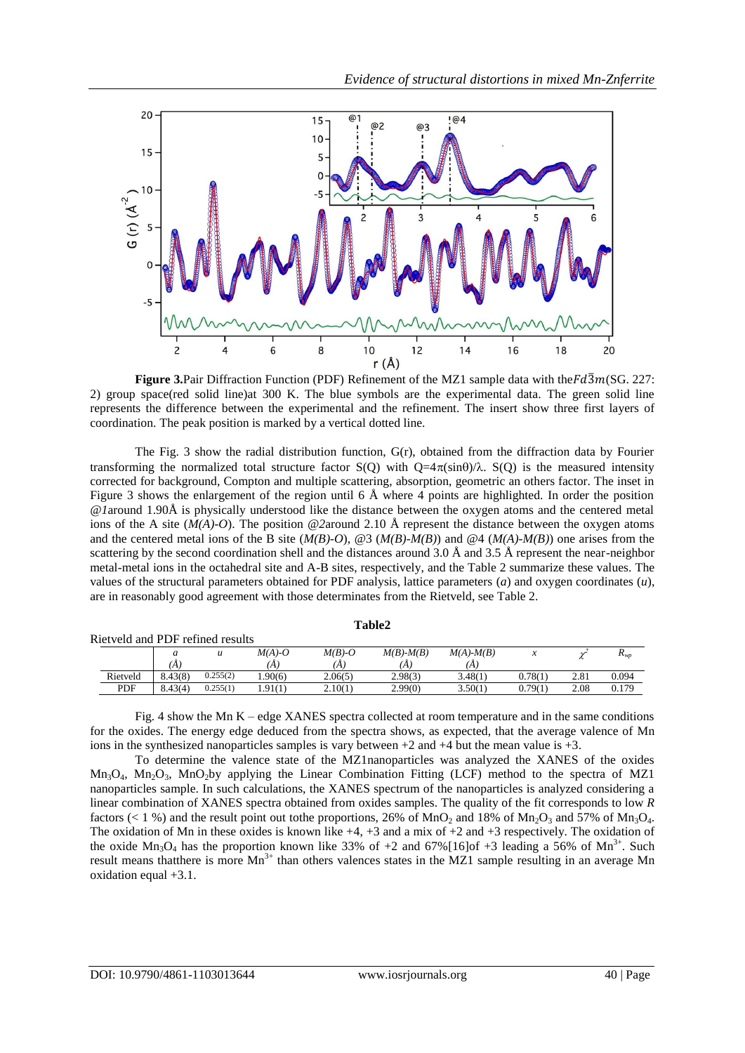

**Figure 3.**Pair Diffraction Function (PDF) Refinement of the MZ1 sample data with the $Fd\overline{3}m(SG. 227$ : 2) group space(red solid line)at 300 K. The blue symbols are the experimental data. The green solid line represents the difference between the experimental and the refinement. The insert show three first layers of coordination. The peak position is marked by a vertical dotted line.

The Fig. 3 show the radial distribution function,  $G(r)$ , obtained from the diffraction data by Fourier transforming the normalized total structure factor  $S(O)$  with  $O=4\pi(\sin\theta)/\lambda$ .  $S(O)$  is the measured intensity corrected for background, Compton and multiple scattering, absorption, geometric an others factor. The inset in Figure 3 shows the enlargement of the region until 6 Å where 4 points are highlighted. In order the position *@1*around 1.90Å is physically understood like the distance between the oxygen atoms and the centered metal ions of the A site (*M(A)-O*). The position *@2*around 2.10 Å represent the distance between the oxygen atoms and the centered metal ions of the B site (*M(B)-O*), @3 (*M(B)-M(B)*) and @4 (*M(A)-M(B)*) one arises from the scattering by the second coordination shell and the distances around 3.0 Å and 3.5 Å represent the near-neighbor metal-metal ions in the octahedral site and A-B sites, respectively, and the Table 2 summarize these values. The values of the structural parameters obtained for PDF analysis, lattice parameters (*a*) and oxygen coordinates (*u*), are in reasonably good agreement with those determinates from the Rietveld, see Table 2.

| Rietveld and PDF refined results |         |          |          |          |                 |                 |        |      |          |
|----------------------------------|---------|----------|----------|----------|-----------------|-----------------|--------|------|----------|
|                                  | а       | и        | $M(A)-O$ | $M(B)-O$ | $M(B)$ - $M(B)$ | $M(A)$ - $M(B)$ |        |      | $K_{WD}$ |
|                                  | A       |          | A        | Ά        | (A              | Ά               |        |      |          |
| Rietveld                         | 8.43(8) | 0.255(2) | .90(6)   | 2.06(5)  | 2.98(3)         | 3.48(1)         | 0.78(1 | 2.81 | 0.094    |
| <b>PDF</b>                       | 8.43(4) | 0.255(1) | 1.91(1)  | 2.10(1)  | 2.99(0)         | 3.50(1)         | 0.79(1 | 2.08 | 0.179    |
|                                  |         |          |          |          |                 |                 |        |      |          |

**Table2**

Fig. 4 show the Mn K – edge XANES spectra collected at room temperature and in the same conditions for the oxides. The energy edge deduced from the spectra shows, as expected, that the average valence of Mn ions in the synthesized nanoparticles samples is vary between +2 and +4 but the mean value is +3.

To determine the valence state of the MZ1nanoparticles was analyzed the XANES of the oxides  $Mn_3O_4$ ,  $Mn_2O_3$ ,  $MnO_2$ by applying the Linear Combination Fitting (LCF) method to the spectra of MZ1 nanoparticles sample. In such calculations, the XANES spectrum of the nanoparticles is analyzed considering a linear combination of XANES spectra obtained from oxides samples. The quality of the fit corresponds to low *R* factors (< 1 %) and the result point out tothe proportions, 26% of MnO<sub>2</sub> and 18% of Mn<sub>2</sub>O<sub>3</sub> and 57% of Mn<sub>3</sub>O<sub>4</sub>. The oxidation of Mn in these oxides is known like  $+4$ ,  $+3$  and a mix of  $+2$  and  $+3$  respectively. The oxidation of the oxide  $Mn_3O_4$  has the proportion known like 33% of +2 and 67%[16]of +3 leading a 56% of  $Mn^{3+}$ . Such result means that there is more  $Mn^{3+}$  than others valences states in the MZ1 sample resulting in an average Mn oxidation equal +3.1.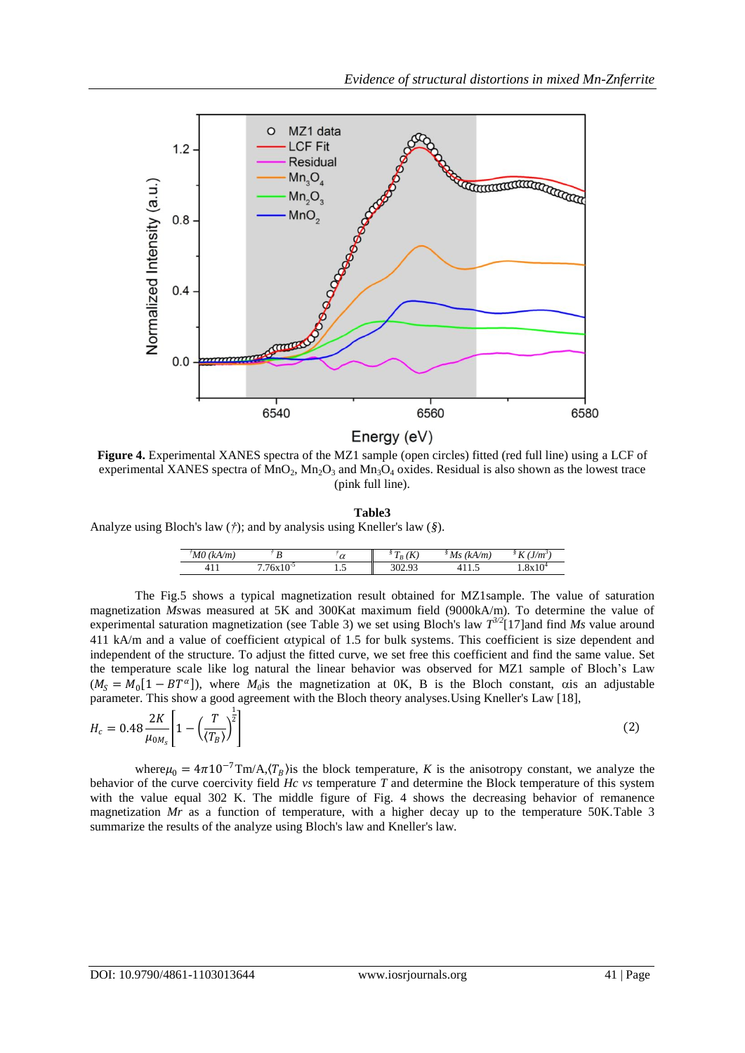

**Figure 4.** Experimental XANES spectra of the MZ1 sample (open circles) fitted (red full line) using a LCF of experimental XANES spectra of  $MnO<sub>2</sub>, Mn<sub>2</sub>O<sub>3</sub>$  and  $Mn<sub>3</sub>O<sub>4</sub>$  oxides. Residual is also shown as the lowest trace (pink full line).

**Table3**

Analyze using Bloch's law (*†*); and by analysis using Kneller's law (*§*).

| M0<br>(kA/m) | ,,                              | $\sim$<br>u | $\mathbf{r}$<br>-2<br>⋀<br>$I_B$ | $M_{S}$<br>(kA/m) | $\mathbf{r}$<br>(J/m)<br>17 |
|--------------|---------------------------------|-------------|----------------------------------|-------------------|-----------------------------|
|              | $-77.10$ <sup>-3</sup><br>'6x10 |             |                                  | .                 | 1.0XIV                      |

The Fig.5 shows a typical magnetization result obtained for MZ1sample. The value of saturation magnetization *Ms*was measured at 5K and 300Kat maximum field (9000kA/m). To determine the value of experimental saturation magnetization (see Table 3) we set using Bloch's law  $T^{3/2}$ [17]and find *Ms* value around 411 kA/m and a value of coefficient oxtypical of 1.5 for bulk systems. This coefficient is size dependent and independent of the structure. To adjust the fitted curve, we set free this coefficient and find the same value. Set the temperature scale like log natural the linear behavior was observed for MZ1 sample of Bloch's Law  $(M<sub>S</sub> = M<sub>0</sub>[1 - BT<sup>\alpha</sup>])$ , where  $M<sub>0</sub>$ is the magnetization at 0K, B is the Bloch constant, cuis an adjustable parameter. This show a good agreement with the Bloch theory analyses.Using Kneller's Law [18],

$$
H_c = 0.48 \frac{2K}{\mu_{0M_s}} \left[ 1 - \left( \frac{T}{\langle T_B \rangle} \right)^{\frac{1}{2}} \right]
$$
 (2)

where  $\mu_0 = 4\pi 10^{-7} \text{Im}/\text{A}, \langle T_B \rangle$  is the block temperature, *K* is the anisotropy constant, we analyze the behavior of the curve coercivity field *Hc vs* temperature *T* and determine the Block temperature of this system with the value equal 302 K. The middle figure of Fig. 4 shows the decreasing behavior of remanence magnetization *Mr* as a function of temperature, with a higher decay up to the temperature 50K.Table 3 summarize the results of the analyze using Bloch's law and Kneller's law.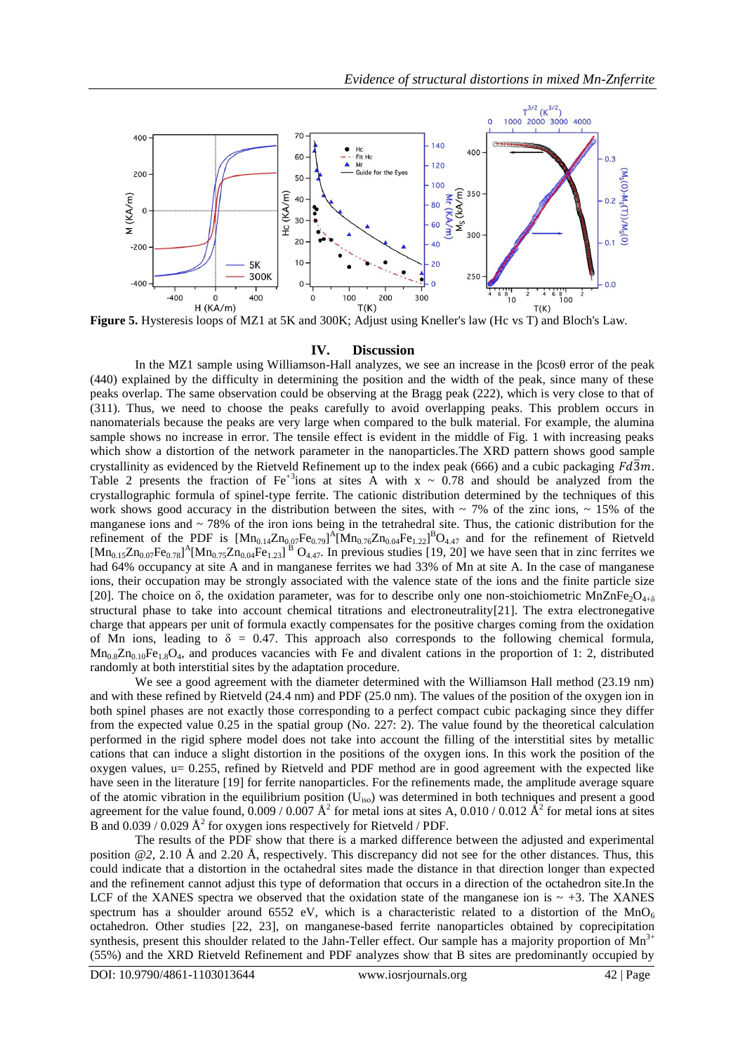

**Figure 5.** Hysteresis loops of MZ1 at 5K and 300K; Adjust using Kneller's law (Hc vs T) and Bloch's Law.

#### <span id="page-6-0"></span>**IV. Discussion**

In the MZ1 sample using Williamson-Hall analyzes, we see an increase in the βcosθ error of the peak (440) explained by the difficulty in determining the position and the width of the peak, since many of these peaks overlap. The same observation could be observing at the Bragg peak (222), which is very close to that of (311). Thus, we need to choose the peaks carefully to avoid overlapping peaks. This problem occurs in nanomaterials because the peaks are very large when compared to the bulk material. For example, the alumina sample shows no increase in error. The tensile effect is evident in the middle of Fig. 1 with increasing peaks which show a distortion of the network parameter in the nanoparticles.The XRD pattern shows good sample crystallinity as evidenced by the Rietveld Refinement up to the index peak (666) and a cubic packaging  $Fd\overline{3}m$ . Table 2 presents the fraction of  $Fe^{+3}$ ions at sites A with  $x \sim 0.78$  and should be analyzed from the crystallographic formula of spinel-type ferrite. The cationic distribution determined by the techniques of this work shows good accuracy in the distribution between the sites, with  $\sim$  7% of the zinc ions,  $\sim$  15% of the manganese ions and ~ 78% of the iron ions being in the tetrahedral site. Thus, the cationic distribution for the refinement of the PDF is  $[Mn_{0.14}Zn_{0.07}Fe_{0.79}]$ <sup>A</sup> $[Mn_{0.76}Zn_{0.04}Fe_{1.22}]$ <sup>B</sup>O<sub>4.47</sub> and for the refinement of Rietveld  $[Mn_{0.15}Zn_{0.07}Fe_{0.78}]$ <sup>A</sup> $[Mn_{0.75}Zn_{0.04}Fe_{1.23}]$ <sup>B</sup> O<sub>4.47</sub>. In previous studies [19, [20\]](#page-6-1) we have seen that in zinc ferrites we had 64% occupancy at site A and in manganese ferrites we had 33% of Mn at site A. In the case of manganese ions, their occupation may be strongly associated with the valence state of the ions and the finite particle size [20]. The choice on  $\delta$ , the oxidation parameter, was for to describe only one non-stoichiometric MnZnFe<sub>2</sub>O<sub>4+ $\delta$ </sub> structural phase to take into account chemical titrations and electroneutrality[21]. The extra electronegative charge that appears per unit of formula exactly compensates for the positive charges coming from the oxidation of Mn ions, leading to  $\delta = 0.47$ . This approach also corresponds to the following chemical formula,  $Mn_0sZn_0.0Fe_1sQ_4$ , and produces vacancies with Fe and divalent cations in the proportion of 1: 2, distributed randomly at both interstitial sites by the adaptation procedure.

<span id="page-6-1"></span>We see a good agreement with the diameter determined with the Williamson Hall method (23.19 nm) and with these refined by Rietveld (24.4 nm) and PDF (25.0 nm). The values of the position of the oxygen ion in both spinel phases are not exactly those corresponding to a perfect compact cubic packaging since they differ from the expected value 0.25 in the spatial group (No. 227: 2). The value found by the theoretical calculation performed in the rigid sphere model does not take into account the filling of the interstitial sites by metallic cations that can induce a slight distortion in the positions of the oxygen ions. In this work the position of the oxygen values, u= 0.255, refined by Rietveld and PDF method are in good agreement with the expected like have seen in the literature [\[19\]](#page-6-0) for ferrite nanoparticles. For the refinements made, the amplitude average square of the atomic vibration in the equilibrium position  $(U_{iso})$  was determined in both techniques and present a good agreement for the value found,  $0.009 / 0.007 \text{ Å}^2$  for metal ions at sites A,  $0.010 / 0.012 \text{ Å}^2$  for metal ions at sites B and  $0.039 / 0.029 \text{ Å}^2$  for oxygen ions respectively for Rietveld / PDF.

The results of the PDF show that there is a marked difference between the adjusted and experimental position *@2*, 2.10 Å and 2.20 Å, respectively. This discrepancy did not see for the other distances. Thus, this could indicate that a distortion in the octahedral sites made the distance in that direction longer than expected and the refinement cannot adjust this type of deformation that occurs in a direction of the octahedron site.In the LCF of the XANES spectra we observed that the oxidation state of the manganese ion is  $\sim +3$ . The XANES spectrum has a shoulder around 6552 eV, which is a characteristic related to a distortion of the  $MnO<sub>6</sub>$ octahedron. Other studies [22, 23], on manganese-based ferrite nanoparticles obtained by coprecipitation synthesis, present this shoulder related to the Jahn-Teller effect. Our sample has a majority proportion of  $Mn<sup>3+</sup>$ (55%) and the XRD Rietveld Refinement and PDF analyzes show that B sites are predominantly occupied by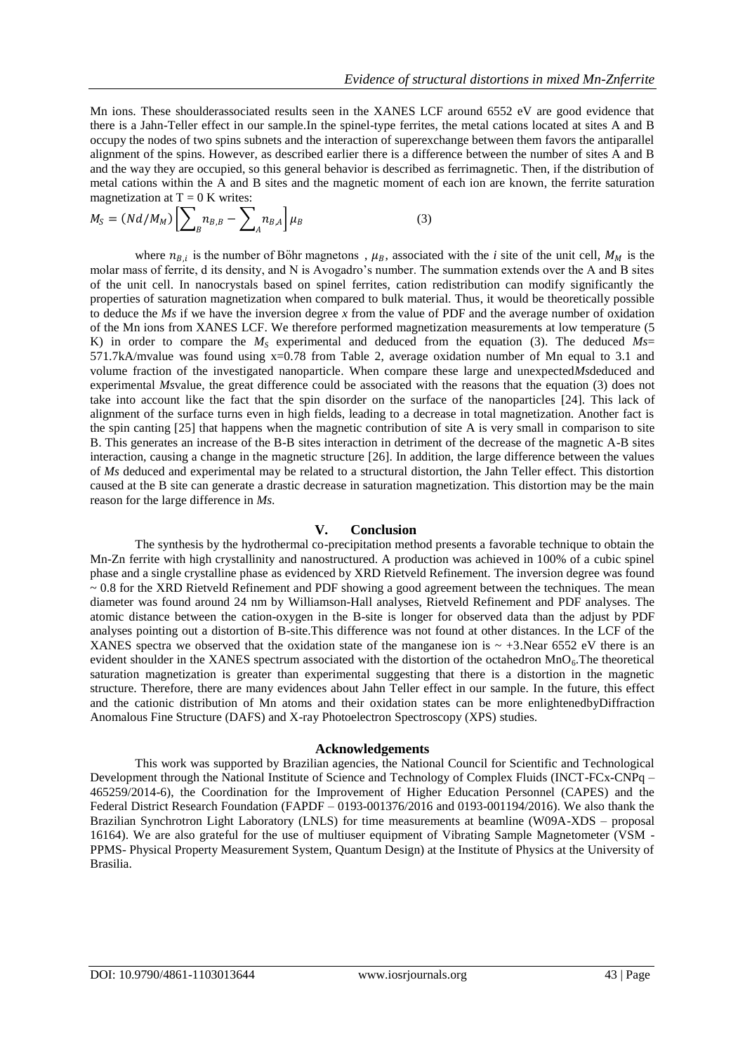Mn ions. These shoulderassociated results seen in the XANES LCF around 6552 eV are good evidence that there is a Jahn-Teller effect in our sample.In the spinel-type ferrites, the metal cations located at sites A and B occupy the nodes of two spins subnets and the interaction of superexchange between them favors the antiparallel alignment of the spins. However, as described earlier there is a difference between the number of sites A and B and the way they are occupied, so this general behavior is described as ferrimagnetic. Then, if the distribution of metal cations within the A and B sites and the magnetic moment of each ion are known, the ferrite saturation magnetization at  $T = 0$  K writes:

$$
M_S = (Nd/M_M) \left[ \sum_B n_{B,B} - \sum_A n_{B,A} \right] \mu_B \tag{3}
$$

where  $n_{B,i}$  is the number of Böhr magnetons,  $\mu_B$ , associated with the *i* site of the unit cell,  $M_M$  is the molar mass of ferrite, d its density, and N is Avogadro's number. The summation extends over the A and B sites of the unit cell. In nanocrystals based on spinel ferrites, cation redistribution can modify significantly the properties of saturation magnetization when compared to bulk material. Thus, it would be theoretically possible to deduce the *Ms* if we have the inversion degree *x* from the value of PDF and the average number of oxidation of the Mn ions from XANES LCF. We therefore performed magnetization measurements at low temperature (5 K) in order to compare the  $M<sub>S</sub>$  experimental and deduced from the equation (3). The deduced  $M<sub>S</sub>=$ 571.7kA/mvalue was found using x=0.78 from Table 2, average oxidation number of Mn equal to 3.1 and volume fraction of the investigated nanoparticle. When compare these large and unexpected*Ms*deduced and experimental *Ms*value, the great difference could be associated with the reasons that the equation (3) does not take into account like the fact that the spin disorder on the surface of the nanoparticles [24]. This lack of alignment of the surface turns even in high fields, leading to a decrease in total magnetization. Another fact is the spin canting [25] that happens when the magnetic contribution of site A is very small in comparison to site B. This generates an increase of the B-B sites interaction in detriment of the decrease of the magnetic A-B sites interaction, causing a change in the magnetic structure [26]. In addition, the large difference between the values of *Ms* deduced and experimental may be related to a structural distortion, the Jahn Teller effect. This distortion caused at the B site can generate a drastic decrease in saturation magnetization. This distortion may be the main reason for the large difference in *Ms*.

#### **V. Conclusion**

The synthesis by the hydrothermal co-precipitation method presents a favorable technique to obtain the Mn-Zn ferrite with high crystallinity and nanostructured. A production was achieved in 100% of a cubic spinel phase and a single crystalline phase as evidenced by XRD Rietveld Refinement. The inversion degree was found  $\sim$  0.8 for the XRD Rietveld Refinement and PDF showing a good agreement between the techniques. The mean diameter was found around 24 nm by Williamson-Hall analyses, Rietveld Refinement and PDF analyses. The atomic distance between the cation-oxygen in the B-site is longer for observed data than the adjust by PDF analyses pointing out a distortion of B-site.This difference was not found at other distances. In the LCF of the XANES spectra we observed that the oxidation state of the manganese ion is  $\sim +3$ . Near 6552 eV there is an evident shoulder in the XANES spectrum associated with the distortion of the octahedron  $MnO<sub>6</sub>$ . The theoretical saturation magnetization is greater than experimental suggesting that there is a distortion in the magnetic structure. Therefore, there are many evidences about Jahn Teller effect in our sample. In the future, this effect and the cationic distribution of Mn atoms and their oxidation states can be more enlightenedbyDiffraction Anomalous Fine Structure (DAFS) and X-ray Photoelectron Spectroscopy (XPS) studies.

#### **Acknowledgements**

This work was supported by Brazilian agencies, the National Council for Scientific and Technological Development through the National Institute of Science and Technology of Complex Fluids (INCT-FCx-CNPq – 465259/2014-6), the Coordination for the Improvement of Higher Education Personnel (CAPES) and the Federal District Research Foundation (FAPDF – 0193-001376/2016 and 0193-001194/2016). We also thank the Brazilian Synchrotron Light Laboratory (LNLS) for time measurements at beamline (W09A-XDS – proposal 16164). We are also grateful for the use of multiuser equipment of Vibrating Sample Magnetometer (VSM - PPMS- Physical Property Measurement System, Quantum Design) at the Institute of Physics at the University of Brasilia.